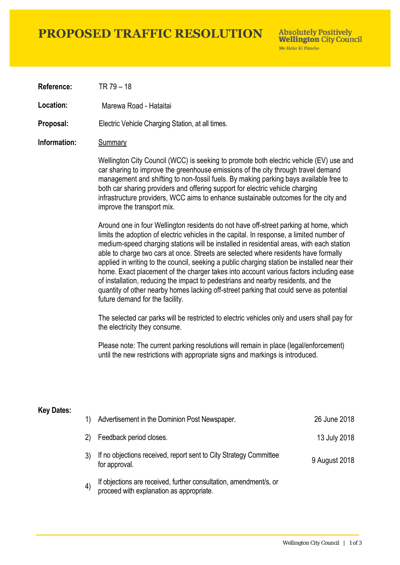## **PROPOSED TRAFFIC RESOLUTION**

**Absolutely Positively Wellington City Council** Me Heke Ki Pôneke

**Reference:** TR 79 – 18

Location: Marewa Road - Hataitai

**Proposal:** Electric Vehicle Charging Station, at all times.

#### **Information:** Summary

Wellington City Council (WCC) is seeking to promote both electric vehicle (EV) use and car sharing to improve the greenhouse emissions of the city through travel demand management and shifting to non-fossil fuels. By making parking bays available free to both car sharing providers and offering support for electric vehicle charging infrastructure providers, WCC aims to enhance sustainable outcomes for the city and improve the transport mix.

Around one in four Wellington residents do not have off-street parking at home, which limits the adoption of electric vehicles in the capital. In response, a limited number of medium-speed charging stations will be installed in residential areas, with each station able to charge two cars at once. Streets are selected where residents have formally applied in writing to the council, seeking a public charging station be installed near their home. Exact placement of the charger takes into account various factors including ease of installation, reducing the impact to pedestrians and nearby residents, and the quantity of other nearby homes lacking off-street parking that could serve as potential future demand for the facility.

The selected car parks will be restricted to electric vehicles only and users shall pay for the electricity they consume.

Please note: The current parking resolutions will remain in place (legal/enforcement) until the new restrictions with appropriate signs and markings is introduced.

#### **Key Dates:**

| 1)                | Advertisement in the Dominion Post Newspaper.                                                                 | 26 June 2018  |
|-------------------|---------------------------------------------------------------------------------------------------------------|---------------|
| 2)                | Feedback period closes.                                                                                       | 13 July 2018  |
|                   | If no objections received, report sent to City Strategy Committee<br>for approval.                            | 9 August 2018 |
| $\left( 4\right)$ | If objections are received, further consultation, amendment/s, or<br>proceed with explanation as appropriate. |               |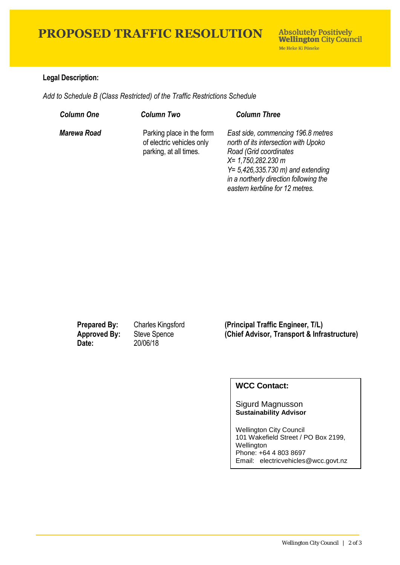## **PROPOSED TRAFFIC RESOLUTION**

### **Legal Description:**

*Add to Schedule B (Class Restricted) of the Traffic Restrictions Schedule* 

| <b>Column One</b> | <b>Column Two</b>                                                                | <b>Column Three</b>                                                                                                                                                                                                                                       |
|-------------------|----------------------------------------------------------------------------------|-----------------------------------------------------------------------------------------------------------------------------------------------------------------------------------------------------------------------------------------------------------|
| Marewa Road       | Parking place in the form<br>of electric vehicles only<br>parking, at all times. | East side, commencing 196.8 metres<br>north of its intersection with Upoko<br>Road (Grid coordinates<br>$X = 1,750,282.230$ m<br>$Y = 5,426,335.730 \text{ m}$ and extending<br>in a northerly direction following the<br>eastern kerbline for 12 metres. |

**Date:** 20/06/18

**Prepared By:** Charles Kingsford **(Principal Traffic Engineer, T/L) Approved By:** Steve Spence **(Chief Advisor, Transport & Infrastructure)**

### **WCC Contact:**

Sigurd Magnusson **Sustainability Advisor**

Wellington City Council 101 Wakefield Street / PO Box 2199, Wellington Phone: +64 4 803 8697 Email: electricvehicles@wcc.govt.nz